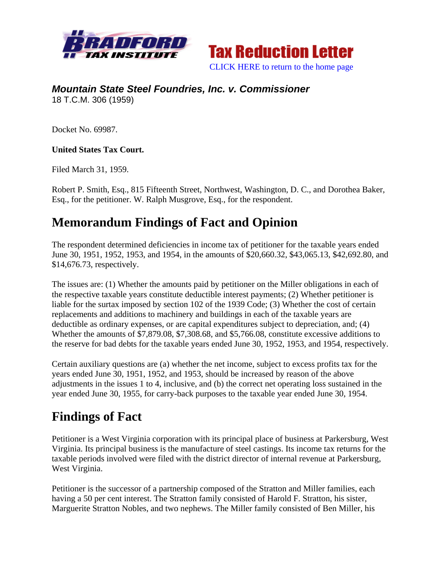



### *Mountain State Steel Foundries, Inc. v. Commissioner*  18 T.C.M. 306 (1959)

Docket No. 69987.

#### **United States Tax Court.**

Filed March 31, 1959.

Robert P. Smith, Esq., 815 Fifteenth Street, Northwest, Washington, D. C., and Dorothea Baker, Esq., for the petitioner. W. Ralph Musgrove, Esq., for the respondent.

## **Memorandum Findings of Fact and Opinion**

The respondent determined deficiencies in income tax of petitioner for the taxable years ended June 30, 1951, 1952, 1953, and 1954, in the amounts of \$20,660.32, \$43,065.13, \$42,692.80, and \$14,676.73, respectively.

The issues are: (1) Whether the amounts paid by petitioner on the Miller obligations in each of the respective taxable years constitute deductible interest payments; (2) Whether petitioner is liable for the surtax imposed by section 102 of the 1939 Code; (3) Whether the cost of certain replacements and additions to machinery and buildings in each of the taxable years are deductible as ordinary expenses, or are capital expenditures subject to depreciation, and; (4) Whether the amounts of \$7,879.08, \$7,308.68, and \$5,766.08, constitute excessive additions to the reserve for bad debts for the taxable years ended June 30, 1952, 1953, and 1954, respectively.

Certain auxiliary questions are (a) whether the net income, subject to excess profits tax for the years ended June 30, 1951, 1952, and 1953, should be increased by reason of the above adjustments in the issues 1 to 4, inclusive, and (b) the correct net operating loss sustained in the year ended June 30, 1955, for carry-back purposes to the taxable year ended June 30, 1954.

## **Findings of Fact**

Petitioner is a West Virginia corporation with its principal place of business at Parkersburg, West Virginia. Its principal business is the manufacture of steel castings. Its income tax returns for the taxable periods involved were filed with the district director of internal revenue at Parkersburg, West Virginia.

Petitioner is the successor of a partnership composed of the Stratton and Miller families, each having a 50 per cent interest. The Stratton family consisted of Harold F. Stratton, his sister, Marguerite Stratton Nobles, and two nephews. The Miller family consisted of Ben Miller, his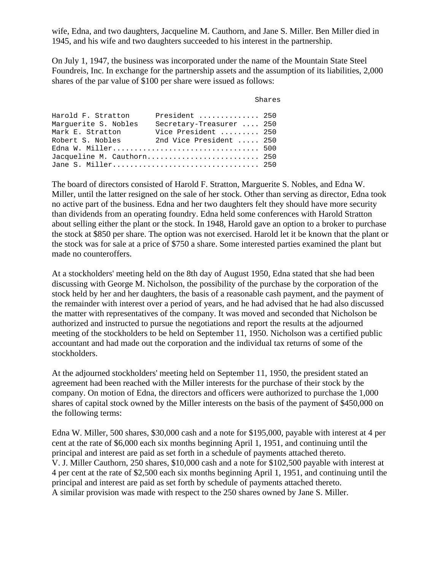wife, Edna, and two daughters, Jacqueline M. Cauthorn, and Jane S. Miller. Ben Miller died in 1945, and his wife and two daughters succeeded to his interest in the partnership.

On July 1, 1947, the business was incorporated under the name of the Mountain State Steel Foundreis, Inc. In exchange for the partnership assets and the assumption of its liabilities, 2,000 shares of the par value of \$100 per share were issued as follows:

| Shares |  |
|--------|--|
|--------|--|

| President  250             |
|----------------------------|
| Secretary-Treasurer  250   |
| Vice President  250        |
| 2nd Vice President  250    |
|                            |
| Jacqueline M. Cauthorn 250 |
| Jane S. Miller 250         |
|                            |

The board of directors consisted of Harold F. Stratton, Marguerite S. Nobles, and Edna W. Miller, until the latter resigned on the sale of her stock. Other than serving as director, Edna took no active part of the business. Edna and her two daughters felt they should have more security than dividends from an operating foundry. Edna held some conferences with Harold Stratton about selling either the plant or the stock. In 1948, Harold gave an option to a broker to purchase the stock at \$850 per share. The option was not exercised. Harold let it be known that the plant or the stock was for sale at a price of \$750 a share. Some interested parties examined the plant but made no counteroffers.

At a stockholders' meeting held on the 8th day of August 1950, Edna stated that she had been discussing with George M. Nicholson, the possibility of the purchase by the corporation of the stock held by her and her daughters, the basis of a reasonable cash payment, and the payment of the remainder with interest over a period of years, and he had advised that he had also discussed the matter with representatives of the company. It was moved and seconded that Nicholson be authorized and instructed to pursue the negotiations and report the results at the adjourned meeting of the stockholders to be held on September 11, 1950. Nicholson was a certified public accountant and had made out the corporation and the individual tax returns of some of the stockholders.

At the adjourned stockholders' meeting held on September 11, 1950, the president stated an agreement had been reached with the Miller interests for the purchase of their stock by the company. On motion of Edna, the directors and officers were authorized to purchase the 1,000 shares of capital stock owned by the Miller interests on the basis of the payment of \$450,000 on the following terms:

Edna W. Miller, 500 shares, \$30,000 cash and a note for \$195,000, payable with interest at 4 per cent at the rate of \$6,000 each six months beginning April 1, 1951, and continuing until the principal and interest are paid as set forth in a schedule of payments attached thereto. V. J. Miller Cauthorn, 250 shares, \$10,000 cash and a note for \$102,500 payable with interest at 4 per cent at the rate of \$2,500 each six months beginning April 1, 1951, and continuing until the principal and interest are paid as set forth by schedule of payments attached thereto. A similar provision was made with respect to the 250 shares owned by Jane S. Miller.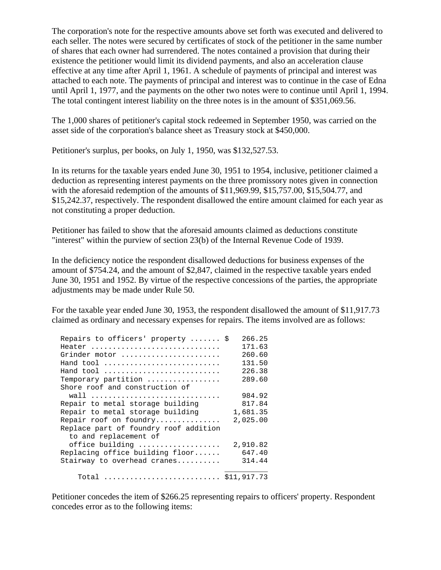The corporation's note for the respective amounts above set forth was executed and delivered to each seller. The notes were secured by certificates of stock of the petitioner in the same number of shares that each owner had surrendered. The notes contained a provision that during their existence the petitioner would limit its dividend payments, and also an acceleration clause effective at any time after April 1, 1961. A schedule of payments of principal and interest was attached to each note. The payments of principal and interest was to continue in the case of Edna until April 1, 1977, and the payments on the other two notes were to continue until April 1, 1994. The total contingent interest liability on the three notes is in the amount of \$351,069.56.

The 1,000 shares of petitioner's capital stock redeemed in September 1950, was carried on the asset side of the corporation's balance sheet as Treasury stock at \$450,000.

Petitioner's surplus, per books, on July 1, 1950, was \$132,527.53.

In its returns for the taxable years ended June 30, 1951 to 1954, inclusive, petitioner claimed a deduction as representing interest payments on the three promissory notes given in connection with the aforesaid redemption of the amounts of \$11,969.99, \$15,757.00, \$15,504.77, and \$15,242.37, respectively. The respondent disallowed the entire amount claimed for each year as not constituting a proper deduction.

Petitioner has failed to show that the aforesaid amounts claimed as deductions constitute "interest" within the purview of section 23(b) of the Internal Revenue Code of 1939.

In the deficiency notice the respondent disallowed deductions for business expenses of the amount of \$754.24, and the amount of \$2,847, claimed in the respective taxable years ended June 30, 1951 and 1952. By virtue of the respective concessions of the parties, the appropriate adjustments may be made under Rule 50.

For the taxable year ended June 30, 1953, the respondent disallowed the amount of \$11,917.73 claimed as ordinary and necessary expenses for repairs. The items involved are as follows:

| Repairs to officers' property  \$     | 266.25   |
|---------------------------------------|----------|
| Heater                                | 171.63   |
| Grinder motor                         | 260.60   |
| Hand tool                             | 131.50   |
| Hand tool                             | 226.38   |
| Temporary partition                   | 289.60   |
| Shore roof and construction of        |          |
| wall                                  | 984.92   |
| Repair to metal storage building      | 817.84   |
| Repair to metal storage building      | 1,681.35 |
| Repair roof on foundry                | 2,025.00 |
| Replace part of foundry roof addition |          |
| to and replacement of                 |          |
| office building                       | 2,910.82 |
| Replacing office building floor       | 647.40   |
| Stairway to overhead cranes           | 314.44   |
|                                       |          |
| Total  \$11,917.73                    |          |

Petitioner concedes the item of \$266.25 representing repairs to officers' property. Respondent concedes error as to the following items: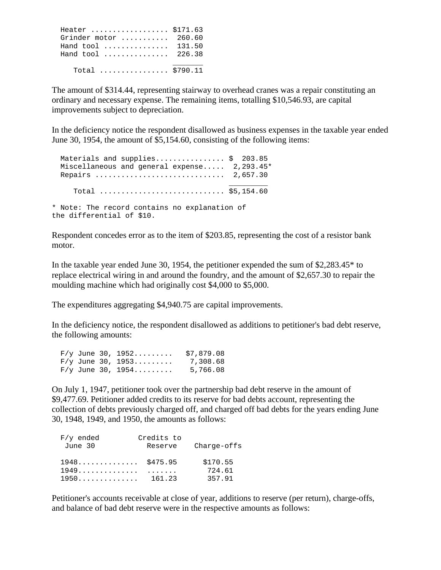Heater .................. \$171.63 Grinder motor ........... 260.60 Hand tool ............... 131.50 Hand tool ............... 226.38 \_\_\_\_\_\_\_ Total ................ \$790.11

The amount of \$314.44, representing stairway to overhead cranes was a repair constituting an ordinary and necessary expense. The remaining items, totalling \$10,546.93, are capital improvements subject to depreciation.

In the deficiency notice the respondent disallowed as business expenses in the taxable year ended June 30, 1954, the amount of \$5,154.60, consisting of the following items:

Materials and supplies.................. \$ 203.85 Miscellaneous and general expense..... 2,293.45\* Repairs .............................. 2,657.30 \_\_\_\_\_\_\_\_\_ Total ............................. \$5,154.60 \* Note: The record contains no explanation of the differential of \$10.

Respondent concedes error as to the item of \$203.85, representing the cost of a resistor bank motor.

In the taxable year ended June 30, 1954, the petitioner expended the sum of \$2,283.45\* to replace electrical wiring in and around the foundry, and the amount of \$2,657.30 to repair the moulding machine which had originally cost \$4,000 to \$5,000.

The expenditures aggregating \$4,940.75 are capital improvements.

In the deficiency notice, the respondent disallowed as additions to petitioner's bad debt reserve, the following amounts:

|  | $F/y$ June 30, 1952 | \$7,879.08 |
|--|---------------------|------------|
|  | $F/y$ June 30, 1953 | 7,308.68   |
|  | $F/y$ June 30, 1954 | 5,766.08   |

On July 1, 1947, petitioner took over the partnership bad debt reserve in the amount of \$9,477.69. Petitioner added credits to its reserve for bad debts account, representing the collection of debts previously charged off, and charged off bad debts for the years ending June 30, 1948, 1949, and 1950, the amounts as follows:

| $F/y$ ended                               | Credits to |                 |
|-------------------------------------------|------------|-----------------|
| June 30                                   | Reserve    | Character of fs |
| $1948 \ldots \ldots \ldots \quad $475.95$ |            | \$170.55        |
| 1949                                      |            | 724.61          |
| 1950.                                     | 161.23     | 357.91          |

Petitioner's accounts receivable at close of year, additions to reserve (per return), charge-offs, and balance of bad debt reserve were in the respective amounts as follows: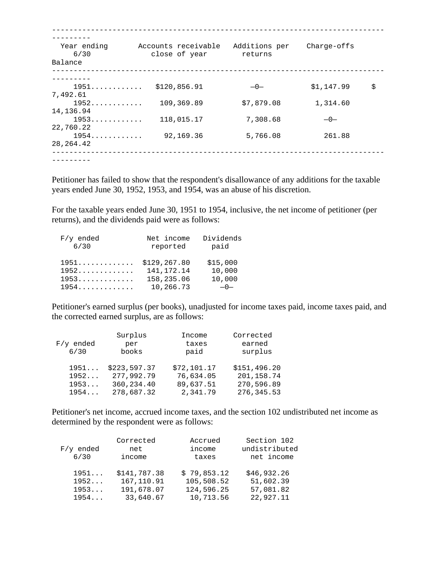| Year ending<br>6/30<br>Balance | Accounts receivable<br>close of year | Additions per<br>returns | Charge-offs |    |
|--------------------------------|--------------------------------------|--------------------------|-------------|----|
|                                |                                      |                          |             |    |
| 1951                           | \$120,856.91                         | $-0-$                    | \$1,147.99  | \$ |
| 7,492.61                       |                                      |                          |             |    |
| 1952                           | 109,369.89                           | \$7,879.08               | 1,314.60    |    |
| 14, 136.94                     |                                      |                          |             |    |
| 1953                           | 118,015.17                           | 7,308.68                 | $-0-$       |    |
| 22,760.22                      |                                      |                          |             |    |
| 1954                           | 92,169.36                            | 5,766.08                 | 261.88      |    |
| 28, 264. 42                    |                                      |                          |             |    |

Petitioner has failed to show that the respondent's disallowance of any additions for the taxable years ended June 30, 1952, 1953, and 1954, was an abuse of his discretion.

For the taxable years ended June 30, 1951 to 1954, inclusive, the net income of petitioner (per returns), and the dividends paid were as follows:

| $F/y$ ended<br>6/30 | Net income<br>reported | Dividends<br>paid |
|---------------------|------------------------|-------------------|
| 1951                | \$129, 267.80          | \$15,000          |
| 1952.               | 141, 172. 14           | 10,000            |
| 1953                | 158,235.06             | 10,000            |
| 1954                | 10,266.73              | $-0-$             |

Petitioner's earned surplus (per books), unadjusted for income taxes paid, income taxes paid, and the corrected earned surplus, are as follows:

|             | Surplus      | Income      | Corrected    |
|-------------|--------------|-------------|--------------|
| $F/y$ ended | per          | taxes       | earned       |
| 6/30        | books        | paid        | surplus      |
| 1951        | \$223,597.37 | \$72,101.17 | \$151,496.20 |
| 1952        | 277,992.79   | 76,634.05   | 201,158.74   |
| 1953        | 360, 234.40  | 89,637.51   | 270,596.89   |
| 1954        | 278,687.32   | 2,341.79    | 276, 345.53  |

Petitioner's net income, accrued income taxes, and the section 102 undistributed net income as determined by the respondent were as follows:

| $F/y$ ended<br>6/30 | Corrected<br>net<br>income | Accrued<br>income<br>taxes | Section 102<br>undistributed<br>net income |
|---------------------|----------------------------|----------------------------|--------------------------------------------|
| 1951                | \$141,787.38               | \$79,853.12                | \$46,932.26                                |
| 1952                | 167, 110.91                | 105,508.52                 | 51,602.39                                  |
| 1953                | 191,678.07                 | 124,596.25                 | 57,081.82                                  |
| 1954                | 33,640.67                  | 10,713.56                  | 22,927.11                                  |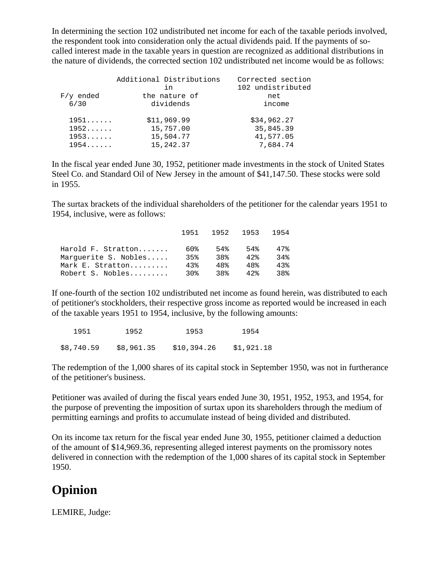In determining the section 102 undistributed net income for each of the taxable periods involved, the respondent took into consideration only the actual dividends paid. If the payments of socalled interest made in the taxable years in question are recognized as additional distributions in the nature of dividends, the corrected section 102 undistributed net income would be as follows:

|             | Additional Distributions<br>in | Corrected section<br>102 undistributed |
|-------------|--------------------------------|----------------------------------------|
| $F/y$ ended | the nature of                  | net                                    |
| 6/30        | dividends                      | income                                 |
| 1951        | \$11,969.99                    | \$34,962.27                            |
| 1952        | 15,757.00                      | 35,845.39                              |
| 1953        | 15,504.77                      | 41,577.05                              |
| 1954        | 15,242.37                      | 7,684.74                               |

In the fiscal year ended June 30, 1952, petitioner made investments in the stock of United States Steel Co. and Standard Oil of New Jersey in the amount of \$41,147.50. These stocks were sold in 1955.

The surtax brackets of the individual shareholders of the petitioner for the calendar years 1951 to 1954, inclusive, were as follows:

|                      | 1951  | 1952 1953 |      | 1954 |
|----------------------|-------|-----------|------|------|
| Harold F. Stratton   | 60%   | 54%       | 54%  | 47%  |
| Marquerite S. Nobles | 35%   | 38%       | 42.8 | 34%  |
| Mark E. Stratton     | 43%   | 48%       | 48%  | 43%  |
| Robert S. Nobles     | 3∩ક્ર | 38%       | 42   | 38%  |

If one-fourth of the section 102 undistributed net income as found herein, was distributed to each of petitioner's stockholders, their respective gross income as reported would be increased in each of the taxable years 1951 to 1954, inclusive, by the following amounts:

| 1951       | 1952       | 1953        | 1954       |
|------------|------------|-------------|------------|
| \$8,740.59 | \$8,961.35 | \$10,394.26 | \$1,921.18 |

The redemption of the 1,000 shares of its capital stock in September 1950, was not in furtherance of the petitioner's business.

Petitioner was availed of during the fiscal years ended June 30, 1951, 1952, 1953, and 1954, for the purpose of preventing the imposition of surtax upon its shareholders through the medium of permitting earnings and profits to accumulate instead of being divided and distributed.

On its income tax return for the fiscal year ended June 30, 1955, petitioner claimed a deduction of the amount of \$14,969.36, representing alleged interest payments on the promissory notes delivered in connection with the redemption of the 1,000 shares of its capital stock in September 1950.

# **Opinion**

LEMIRE, Judge: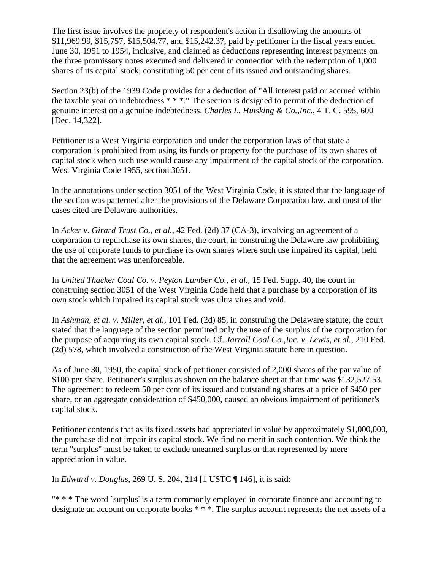The first issue involves the propriety of respondent's action in disallowing the amounts of \$11,969.99, \$15,757, \$15,504.77, and \$15,242.37, paid by petitioner in the fiscal years ended June 30, 1951 to 1954, inclusive, and claimed as deductions representing interest payments on the three promissory notes executed and delivered in connection with the redemption of 1,000 shares of its capital stock, constituting 50 per cent of its issued and outstanding shares.

Section 23(b) of the 1939 Code provides for a deduction of "All interest paid or accrued within the taxable year on indebtedness \* \* \*." The section is designed to permit of the deduction of genuine interest on a genuine indebtedness. *Charles L. Huisking & Co.,Inc.,* 4 T. C. 595, 600 [Dec. 14,322].

Petitioner is a West Virginia corporation and under the corporation laws of that state a corporation is prohibited from using its funds or property for the purchase of its own shares of capital stock when such use would cause any impairment of the capital stock of the corporation. West Virginia Code 1955, section 3051.

In the annotations under section 3051 of the West Virginia Code, it is stated that the language of the section was patterned after the provisions of the Delaware Corporation law, and most of the cases cited are Delaware authorities.

In *Acker v. Girard Trust Co., et al.,* 42 Fed. (2d) 37 (CA-3), involving an agreement of a corporation to repurchase its own shares, the court, in construing the Delaware law prohibiting the use of corporate funds to purchase its own shares where such use impaired its capital, held that the agreement was unenforceable.

In *United Thacker Coal Co. v. Peyton Lumber Co., et al.,* 15 Fed. Supp. 40, the court in construing section 3051 of the West Virginia Code held that a purchase by a corporation of its own stock which impaired its capital stock was ultra vires and void.

In *Ashman, et al. v. Miller, et al.,* 101 Fed. (2d) 85, in construing the Delaware statute, the court stated that the language of the section permitted only the use of the surplus of the corporation for the purpose of acquiring its own capital stock. Cf. *Jarroll Coal Co.,Inc. v. Lewis, et al.,* 210 Fed. (2d) 578, which involved a construction of the West Virginia statute here in question.

As of June 30, 1950, the capital stock of petitioner consisted of 2,000 shares of the par value of \$100 per share. Petitioner's surplus as shown on the balance sheet at that time was \$132,527.53. The agreement to redeem 50 per cent of its issued and outstanding shares at a price of \$450 per share, or an aggregate consideration of \$450,000, caused an obvious impairment of petitioner's capital stock.

Petitioner contends that as its fixed assets had appreciated in value by approximately \$1,000,000, the purchase did not impair its capital stock. We find no merit in such contention. We think the term "surplus" must be taken to exclude unearned surplus or that represented by mere appreciation in value.

In *Edward v. Douglas,* 269 U. S. 204, 214 [1 USTC ¶ 146], it is said:

"\* \* \* The word `surplus' is a term commonly employed in corporate finance and accounting to designate an account on corporate books \* \* \*. The surplus account represents the net assets of a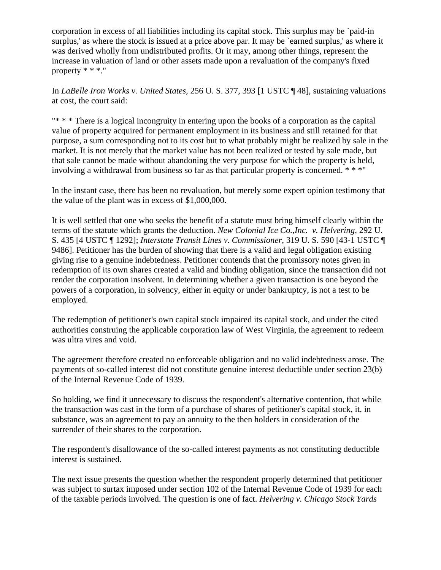corporation in excess of all liabilities including its capital stock. This surplus may be `paid-in surplus,' as where the stock is issued at a price above par. It may be `earned surplus,' as where it was derived wholly from undistributed profits. Or it may, among other things, represent the increase in valuation of land or other assets made upon a revaluation of the company's fixed property \* \* \*."

In *LaBelle Iron Works v. United States,* 256 U. S. 377, 393 [1 USTC ¶ 48], sustaining valuations at cost, the court said:

"\* \* \* There is a logical incongruity in entering upon the books of a corporation as the capital value of property acquired for permanent employment in its business and still retained for that purpose, a sum corresponding not to its cost but to what probably might be realized by sale in the market. It is not merely that the market value has not been realized or tested by sale made, but that sale cannot be made without abandoning the very purpose for which the property is held, involving a withdrawal from business so far as that particular property is concerned. \* \* \*"

In the instant case, there has been no revaluation, but merely some expert opinion testimony that the value of the plant was in excess of \$1,000,000.

It is well settled that one who seeks the benefit of a statute must bring himself clearly within the terms of the statute which grants the deduction. *New Colonial Ice Co.,Inc. v. Helvering,* 292 U. S. 435 [4 USTC ¶ 1292]; *Interstate Transit Lines v. Commissioner,* 319 U. S. 590 [43-1 USTC ¶ 9486]. Petitioner has the burden of showing that there is a valid and legal obligation existing giving rise to a genuine indebtedness. Petitioner contends that the promissory notes given in redemption of its own shares created a valid and binding obligation, since the transaction did not render the corporation insolvent. In determining whether a given transaction is one beyond the powers of a corporation, in solvency, either in equity or under bankruptcy, is not a test to be employed.

The redemption of petitioner's own capital stock impaired its capital stock, and under the cited authorities construing the applicable corporation law of West Virginia, the agreement to redeem was ultra vires and void.

The agreement therefore created no enforceable obligation and no valid indebtedness arose. The payments of so-called interest did not constitute genuine interest deductible under section 23(b) of the Internal Revenue Code of 1939.

So holding, we find it unnecessary to discuss the respondent's alternative contention, that while the transaction was cast in the form of a purchase of shares of petitioner's capital stock, it, in substance, was an agreement to pay an annuity to the then holders in consideration of the surrender of their shares to the corporation.

The respondent's disallowance of the so-called interest payments as not constituting deductible interest is sustained.

The next issue presents the question whether the respondent properly determined that petitioner was subject to surtax imposed under section 102 of the Internal Revenue Code of 1939 for each of the taxable periods involved. The question is one of fact. *Helvering v. Chicago Stock Yards*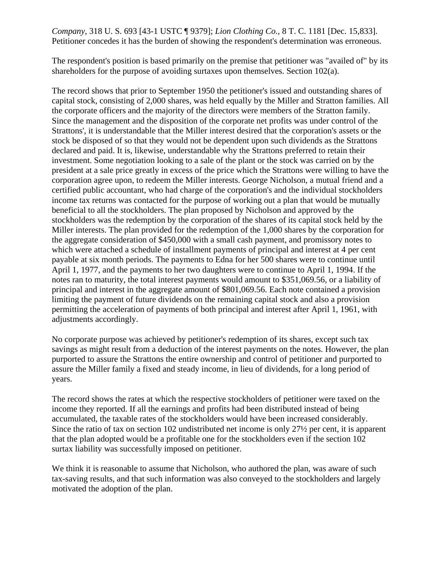#### *Company,* 318 U. S. 693 [43-1 USTC ¶ 9379]; *Lion Clothing Co.,* 8 T. C. 1181 [Dec. 15,833]. Petitioner concedes it has the burden of showing the respondent's determination was erroneous.

The respondent's position is based primarily on the premise that petitioner was "availed of" by its shareholders for the purpose of avoiding surtaxes upon themselves. Section 102(a).

The record shows that prior to September 1950 the petitioner's issued and outstanding shares of capital stock, consisting of 2,000 shares, was held equally by the Miller and Stratton families. All the corporate officers and the majority of the directors were members of the Stratton family. Since the management and the disposition of the corporate net profits was under control of the Strattons', it is understandable that the Miller interest desired that the corporation's assets or the stock be disposed of so that they would not be dependent upon such dividends as the Strattons declared and paid. It is, likewise, understandable why the Strattons preferred to retain their investment. Some negotiation looking to a sale of the plant or the stock was carried on by the president at a sale price greatly in excess of the price which the Strattons were willing to have the corporation agree upon, to redeem the Miller interests. George Nicholson, a mutual friend and a certified public accountant, who had charge of the corporation's and the individual stockholders income tax returns was contacted for the purpose of working out a plan that would be mutually beneficial to all the stockholders. The plan proposed by Nicholson and approved by the stockholders was the redemption by the corporation of the shares of its capital stock held by the Miller interests. The plan provided for the redemption of the 1,000 shares by the corporation for the aggregate consideration of \$450,000 with a small cash payment, and promissory notes to which were attached a schedule of installment payments of principal and interest at 4 per cent payable at six month periods. The payments to Edna for her 500 shares were to continue until April 1, 1977, and the payments to her two daughters were to continue to April 1, 1994. If the notes ran to maturity, the total interest payments would amount to \$351,069.56, or a liability of principal and interest in the aggregate amount of \$801,069.56. Each note contained a provision limiting the payment of future dividends on the remaining capital stock and also a provision permitting the acceleration of payments of both principal and interest after April 1, 1961, with adjustments accordingly.

No corporate purpose was achieved by petitioner's redemption of its shares, except such tax savings as might result from a deduction of the interest payments on the notes. However, the plan purported to assure the Strattons the entire ownership and control of petitioner and purported to assure the Miller family a fixed and steady income, in lieu of dividends, for a long period of years.

The record shows the rates at which the respective stockholders of petitioner were taxed on the income they reported. If all the earnings and profits had been distributed instead of being accumulated, the taxable rates of the stockholders would have been increased considerably. Since the ratio of tax on section 102 undistributed net income is only 27½ per cent, it is apparent that the plan adopted would be a profitable one for the stockholders even if the section 102 surtax liability was successfully imposed on petitioner.

We think it is reasonable to assume that Nicholson, who authored the plan, was aware of such tax-saving results, and that such information was also conveyed to the stockholders and largely motivated the adoption of the plan.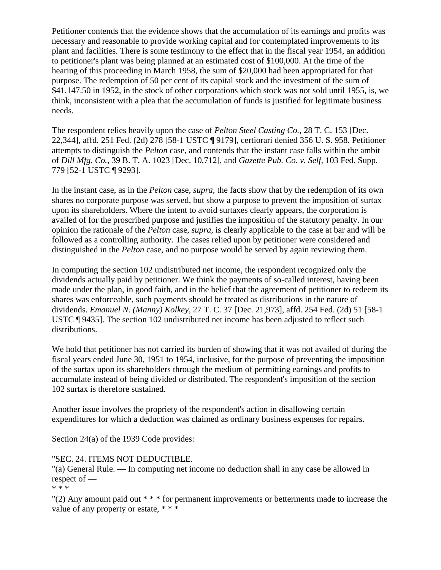Petitioner contends that the evidence shows that the accumulation of its earnings and profits was necessary and reasonable to provide working capital and for contemplated improvements to its plant and facilities. There is some testimony to the effect that in the fiscal year 1954, an addition to petitioner's plant was being planned at an estimated cost of \$100,000. At the time of the hearing of this proceeding in March 1958, the sum of \$20,000 had been appropriated for that purpose. The redemption of 50 per cent of its capital stock and the investment of the sum of \$41,147.50 in 1952, in the stock of other corporations which stock was not sold until 1955, is, we think, inconsistent with a plea that the accumulation of funds is justified for legitimate business needs.

The respondent relies heavily upon the case of *Pelton Steel Casting Co.,* 28 T. C. 153 [Dec. 22,344], affd. 251 Fed. (2d) 278 [58-1 USTC ¶ 9179], certiorari denied 356 U. S. 958. Petitioner attempts to distinguish the *Pelton* case, and contends that the instant case falls within the ambit of *Dill Mfg. Co.,* 39 B. T. A. 1023 [Dec. 10,712], and *Gazette Pub. Co. v. Self,* 103 Fed. Supp. 779 [52-1 USTC ¶ 9293].

In the instant case, as in the *Pelton* case, *supra,* the facts show that by the redemption of its own shares no corporate purpose was served, but show a purpose to prevent the imposition of surtax upon its shareholders. Where the intent to avoid surtaxes clearly appears, the corporation is availed of for the proscribed purpose and justifies the imposition of the statutory penalty. In our opinion the rationale of the *Pelton* case, *supra,* is clearly applicable to the case at bar and will be followed as a controlling authority. The cases relied upon by petitioner were considered and distinguished in the *Pelton* case, and no purpose would be served by again reviewing them.

In computing the section 102 undistributed net income, the respondent recognized only the dividends actually paid by petitioner. We think the payments of so-called interest, having been made under the plan, in good faith, and in the belief that the agreement of petitioner to redeem its shares was enforceable, such payments should be treated as distributions in the nature of dividends. *Emanuel N. (Manny) Kolkey,* 27 T. C. 37 [Dec. 21,973], affd. 254 Fed. (2d) 51 [58-1 USTC ¶ 9435]. The section 102 undistributed net income has been adjusted to reflect such distributions.

We hold that petitioner has not carried its burden of showing that it was not availed of during the fiscal years ended June 30, 1951 to 1954, inclusive, for the purpose of preventing the imposition of the surtax upon its shareholders through the medium of permitting earnings and profits to accumulate instead of being divided or distributed. The respondent's imposition of the section 102 surtax is therefore sustained.

Another issue involves the propriety of the respondent's action in disallowing certain expenditures for which a deduction was claimed as ordinary business expenses for repairs.

Section 24(a) of the 1939 Code provides:

"SEC. 24. ITEMS NOT DEDUCTIBLE.

"(a) General Rule. — In computing net income no deduction shall in any case be allowed in respect of —

\* \* \*

"(2) Any amount paid out  $***$  for permanent improvements or betterments made to increase the value of any property or estate, \* \* \*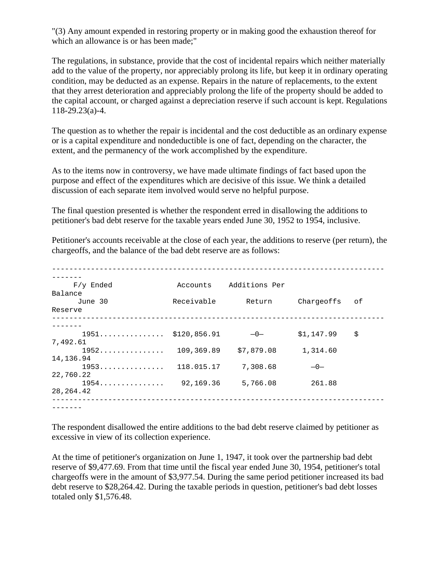"(3) Any amount expended in restoring property or in making good the exhaustion thereof for which an allowance is or has been made;"

The regulations, in substance, provide that the cost of incidental repairs which neither materially add to the value of the property, nor appreciably prolong its life, but keep it in ordinary operating condition, may be deducted as an expense. Repairs in the nature of replacements, to the extent that they arrest deterioration and appreciably prolong the life of the property should be added to the capital account, or charged against a depreciation reserve if such account is kept. Regulations 118-29.23(a)-4.

The question as to whether the repair is incidental and the cost deductible as an ordinary expense or is a capital expenditure and nondeductible is one of fact, depending on the character, the extent, and the permanency of the work accomplished by the expenditure.

As to the items now in controversy, we have made ultimate findings of fact based upon the purpose and effect of the expenditures which are decisive of this issue. We think a detailed discussion of each separate item involved would serve no helpful purpose.

The final question presented is whether the respondent erred in disallowing the additions to petitioner's bad debt reserve for the taxable years ended June 30, 1952 to 1954, inclusive.

Petitioner's accounts receivable at the close of each year, the additions to reserve (per return), the chargeoffs, and the balance of the bad debt reserve are as follows:

| $F/y$ Ended                                  | Accounts   | Additions Per         |            |    |
|----------------------------------------------|------------|-----------------------|------------|----|
| Balance                                      |            |                       |            |    |
| June 30                                      | Receivable | Return                | Chargeoffs | оf |
| Reserve                                      |            |                       |            |    |
|                                              |            |                       |            |    |
| $1951$ \$120,856.91                          |            | $-0-$                 | \$1,147.99 | \$ |
| 7,492.61                                     |            |                       |            |    |
| 1952.                                        |            | 109,369.89 \$7,879.08 | 1,314.60   |    |
| 14,136.94                                    |            |                       |            |    |
| 1953.                                        | 118.015.17 | 7,308.68              | $-0-$      |    |
| 22,760.22                                    |            |                       |            |    |
| $1954 \ldots \ldots \ldots \ldots 92,169.36$ |            | 5,766.08              | 261.88     |    |
| 28, 264. 42                                  |            |                       |            |    |

The respondent disallowed the entire additions to the bad debt reserve claimed by petitioner as excessive in view of its collection experience.

At the time of petitioner's organization on June 1, 1947, it took over the partnership bad debt reserve of \$9,477.69. From that time until the fiscal year ended June 30, 1954, petitioner's total chargeoffs were in the amount of \$3,977.54. During the same period petitioner increased its bad debt reserve to \$28,264.42. During the taxable periods in question, petitioner's bad debt losses totaled only \$1,576.48.